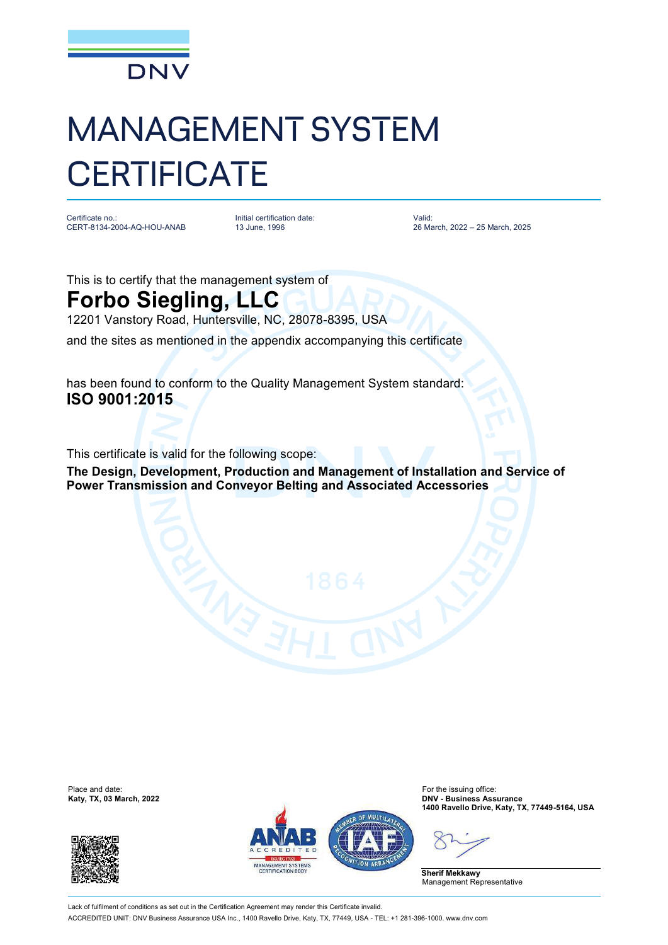

## MANAGEMENT SYSTEM **CERTIFICATE**

Certificate no.: CERT-8134-2004-AQ-HOU-ANAB Initial certification date: 13 June, 1996

Valid: 26 March, 2022 – 25 March, 2025

This is to certify that the management system of

## **Forbo Siegling, LLC**

12201 Vanstory Road, Huntersville, NC, 28078-8395, USA

and the sites as mentioned in the appendix accompanying this certificate

has been found to conform to the Quality Management System standard: **ISO 9001:2015**

This certificate is valid for the following scope:

**The Design, Development, Production and Management of Installation and Service of Power Transmission and Conveyor Belting and Associated Accessories**

Place and date:<br>Katy, TX, 03 March, 2022





For the issuing office:<br>**DNV - Business Assurance 1400 Ravello Drive, Katy, TX, 77449-5164, USA**

**Sherif Mekkawy** Management Representative

Lack of fulfilment of conditions as set out in the Certification Agreement may render this Certificate invalid ACCREDITED UNIT: DNV Business Assurance USA Inc., 1400 Ravello Drive, Katy, TX, 77449, USA - TEL: +1 281-396-1000. [www.dnv.com](http://www.dnv.com)